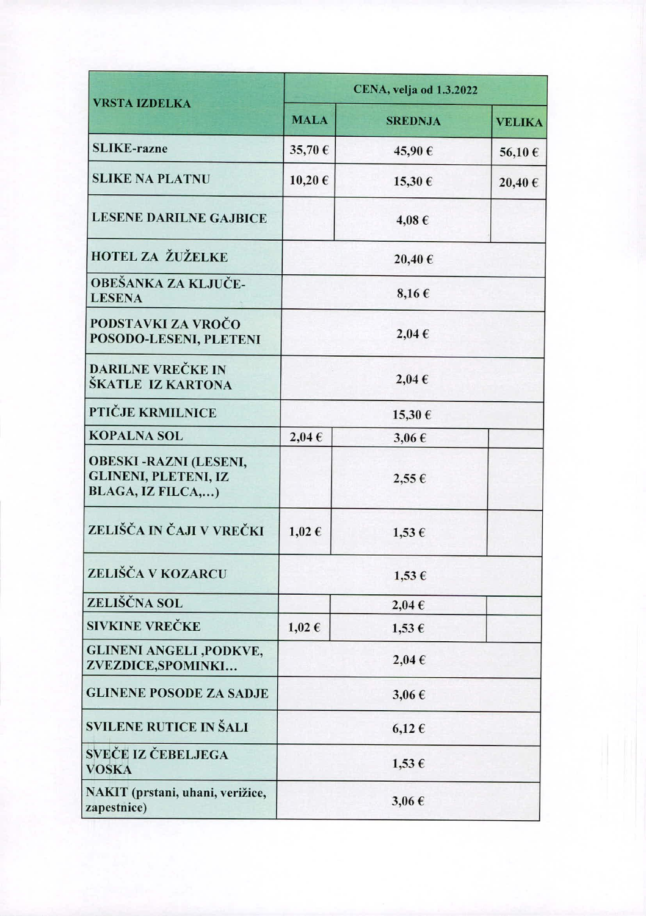| <b>VRSTA IZDELKA</b>                                                             | CENA, velja od 1.3.2022 |                |               |
|----------------------------------------------------------------------------------|-------------------------|----------------|---------------|
|                                                                                  | <b>MALA</b>             | <b>SREDNJA</b> | <b>VELIKA</b> |
| <b>SLIKE-razne</b>                                                               | 35,70€                  | 45,90€         | 56,10€        |
| <b>SLIKE NA PLATNU</b>                                                           | 10,20€                  | 15,30€         | 20,40€        |
| <b>LESENE DARILNE GAJBICE</b>                                                    |                         | 4,08€          |               |
| <b>HOTEL ZA ŽUŽELKE</b>                                                          | 20,40€                  |                |               |
| OBEŠANKA ZA KLJUČE-<br><b>LESENA</b>                                             | $8,16 \in$              |                |               |
| PODSTAVKI ZA VROČO<br>POSODO-LESENI, PLETENI                                     | 2,04€                   |                |               |
| <b>DARILNE VREČKE IN</b><br>ŠKATLE IZ KARTONA                                    | $2,04 \in$              |                |               |
| PTIČJE KRMILNICE                                                                 | 15,30 €                 |                |               |
| <b>KOPALNA SOL</b>                                                               | $2,04 \in$              | $3,06 \in$     |               |
| <b>OBESKI-RAZNI (LESENI,</b><br><b>GLINENI, PLETENI, IZ</b><br>BLAGA, IZ FILCA,) |                         | $2,55 \in$     |               |
| ZELIŠČA IN ČAJI V VREČKI                                                         | $1,02 \in$              | $1,53 \in$     |               |
| ZELIŠČA V KOZARCU                                                                | 1,53€                   |                |               |
| ZELIŠČNA SOL                                                                     |                         | $2,04 \in$     |               |
| <b>SIVKINE VREČKE</b>                                                            | $1,02 \in$              | $1,53 \in$     |               |
| <b>GLINENI ANGELI ,PODKVE,</b><br>ZVEZDICE, SPOMINKI                             | $2,04 \in$              |                |               |
| <b>GLINENE POSODE ZA SADJE</b>                                                   | $3,06 \in$              |                |               |
| SVILENE RUTICE IN ŠALI                                                           | $6,12 \in$              |                |               |
| SVEČE IZ ČEBELJEGA<br><b>VOSKA</b>                                               | $1,53 \in$              |                |               |
| NAKIT (prstani, uhani, verižice,<br>zapestnice)                                  | $3,06 \in$              |                |               |